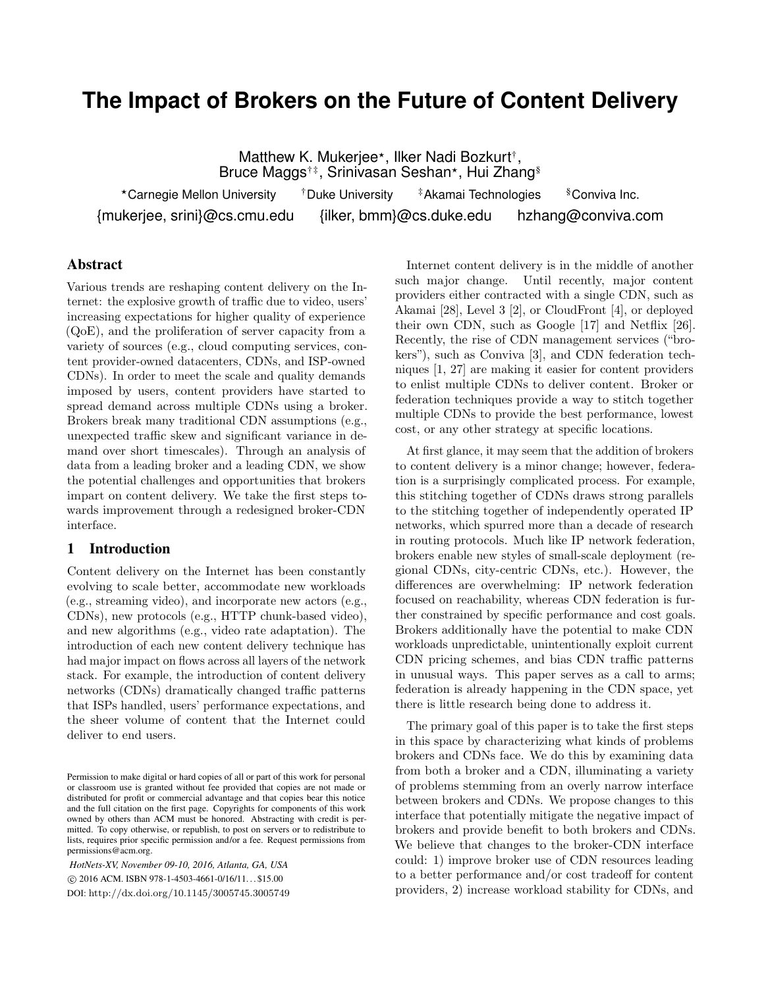# **The Impact of Brokers on the Future of Content Delivery**

Matthew K. Mukerjee\*, Ilker Nadi Bozkurt<sup>†</sup>, Bruce Maggs<sup>†‡</sup>, Srinivasan Seshan\*, Hui Zhang<sup>§</sup>

\*Carnegie Mellon University <sup>†</sup>Duke University <sup>†</sup>Akamai Technologies §Conviva Inc. {mukerjee, srini}@cs.cmu.edu {ilker, bmm}@cs.duke.edu hzhang@conviva.com

# Abstract

Various trends are reshaping content delivery on the Internet: the explosive growth of traffic due to video, users' increasing expectations for higher quality of experience (QoE), and the proliferation of server capacity from a variety of sources (e.g., cloud computing services, content provider-owned datacenters, CDNs, and ISP-owned CDNs). In order to meet the scale and quality demands imposed by users, content providers have started to spread demand across multiple CDNs using a broker. Brokers break many traditional CDN assumptions (e.g., unexpected traffic skew and significant variance in demand over short timescales). Through an analysis of data from a leading broker and a leading CDN, we show the potential challenges and opportunities that brokers impart on content delivery. We take the first steps towards improvement through a redesigned broker-CDN interface.

#### 1 Introduction

Content delivery on the Internet has been constantly evolving to scale better, accommodate new workloads (e.g., streaming video), and incorporate new actors (e.g., CDNs), new protocols (e.g., HTTP chunk-based video), and new algorithms (e.g., video rate adaptation). The introduction of each new content delivery technique has had major impact on flows across all layers of the network stack. For example, the introduction of content delivery networks (CDNs) dramatically changed traffic patterns that ISPs handled, users' performance expectations, and the sheer volume of content that the Internet could deliver to end users.

*HotNets-XV, November 09-10, 2016, Atlanta, GA, USA* c 2016 ACM. ISBN 978-1-4503-4661-0/16/11. . . \$15.00 DOI: http://dx.doi.org/10.1145/3005745.3005749

Internet content delivery is in the middle of another such major change. Until recently, major content providers either contracted with a single CDN, such as Akamai [28], Level 3 [2], or CloudFront [4], or deployed their own CDN, such as Google [17] and Netflix [26]. Recently, the rise of CDN management services ("brokers"), such as Conviva [3], and CDN federation techniques [1, 27] are making it easier for content providers to enlist multiple CDNs to deliver content. Broker or federation techniques provide a way to stitch together multiple CDNs to provide the best performance, lowest cost, or any other strategy at specific locations.

At first glance, it may seem that the addition of brokers to content delivery is a minor change; however, federation is a surprisingly complicated process. For example, this stitching together of CDNs draws strong parallels to the stitching together of independently operated IP networks, which spurred more than a decade of research in routing protocols. Much like IP network federation, brokers enable new styles of small-scale deployment (regional CDNs, city-centric CDNs, etc.). However, the differences are overwhelming: IP network federation focused on reachability, whereas CDN federation is further constrained by specific performance and cost goals. Brokers additionally have the potential to make CDN workloads unpredictable, unintentionally exploit current CDN pricing schemes, and bias CDN traffic patterns in unusual ways. This paper serves as a call to arms; federation is already happening in the CDN space, yet there is little research being done to address it.

The primary goal of this paper is to take the first steps in this space by characterizing what kinds of problems brokers and CDNs face. We do this by examining data from both a broker and a CDN, illuminating a variety of problems stemming from an overly narrow interface between brokers and CDNs. We propose changes to this interface that potentially mitigate the negative impact of brokers and provide benefit to both brokers and CDNs. We believe that changes to the broker-CDN interface could: 1) improve broker use of CDN resources leading to a better performance and/or cost tradeoff for content providers, 2) increase workload stability for CDNs, and

Permission to make digital or hard copies of all or part of this work for personal or classroom use is granted without fee provided that copies are not made or distributed for profit or commercial advantage and that copies bear this notice and the full citation on the first page. Copyrights for components of this work owned by others than ACM must be honored. Abstracting with credit is permitted. To copy otherwise, or republish, to post on servers or to redistribute to lists, requires prior specific permission and/or a fee. Request permissions from permissions@acm.org.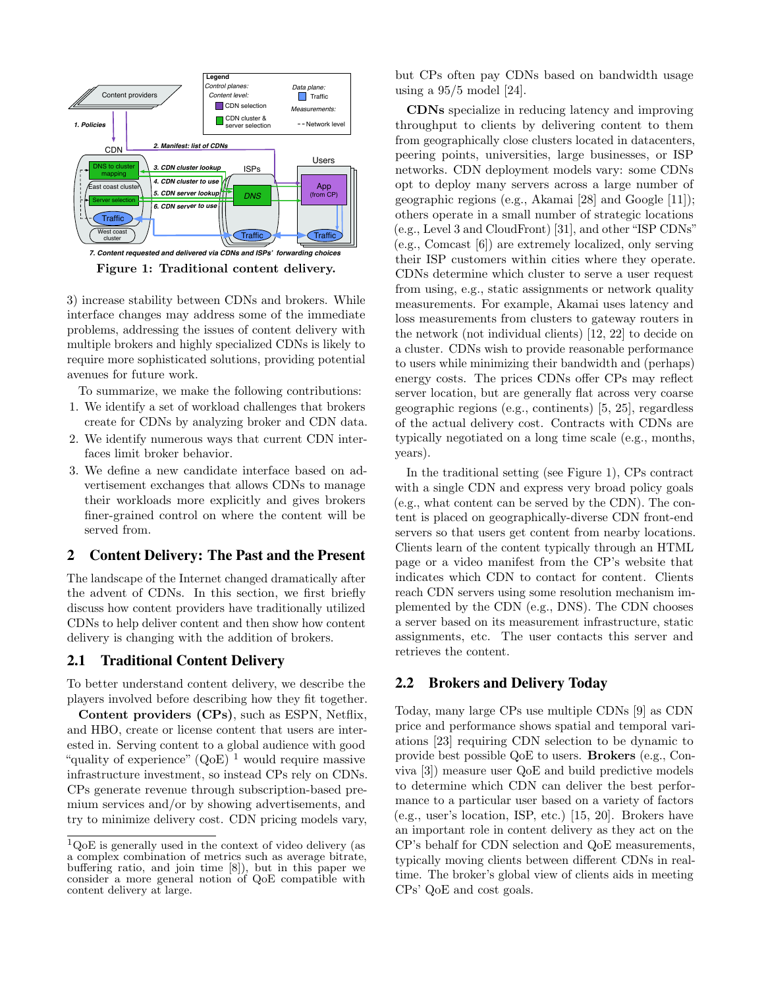

Figure 1: Traditional content delivery.

3) increase stability between CDNs and brokers. While interface changes may address some of the immediate problems, addressing the issues of content delivery with multiple brokers and highly specialized CDNs is likely to require more sophisticated solutions, providing potential avenues for future work.

To summarize, we make the following contributions:

- 1. We identify a set of workload challenges that brokers create for CDNs by analyzing broker and CDN data.
- 2. We identify numerous ways that current CDN interfaces limit broker behavior.
- 3. We define a new candidate interface based on advertisement exchanges that allows CDNs to manage their workloads more explicitly and gives brokers finer-grained control on where the content will be served from.

#### 2 Content Delivery: The Past and the Present

The landscape of the Internet changed dramatically after the advent of CDNs. In this section, we first briefly discuss how content providers have traditionally utilized CDNs to help deliver content and then show how content delivery is changing with the addition of brokers.

#### 2.1 Traditional Content Delivery

To better understand content delivery, we describe the players involved before describing how they fit together.

Content providers (CPs), such as ESPN, Netflix, and HBO, create or license content that users are interested in. Serving content to a global audience with good "quality of experience"  $(OoE)^1$  would require massive infrastructure investment, so instead CPs rely on CDNs. CPs generate revenue through subscription-based premium services and/or by showing advertisements, and try to minimize delivery cost. CDN pricing models vary, but CPs often pay CDNs based on bandwidth usage using a 95/5 model [24].

CDNs specialize in reducing latency and improving throughput to clients by delivering content to them from geographically close clusters located in datacenters, peering points, universities, large businesses, or ISP networks. CDN deployment models vary: some CDNs opt to deploy many servers across a large number of geographic regions (e.g., Akamai [28] and Google [11]); others operate in a small number of strategic locations (e.g., Level 3 and CloudFront) [31], and other "ISP CDNs" (e.g., Comcast [6]) are extremely localized, only serving their ISP customers within cities where they operate. CDNs determine which cluster to serve a user request from using, e.g., static assignments or network quality measurements. For example, Akamai uses latency and loss measurements from clusters to gateway routers in the network (not individual clients) [12, 22] to decide on a cluster. CDNs wish to provide reasonable performance to users while minimizing their bandwidth and (perhaps) energy costs. The prices CDNs offer CPs may reflect server location, but are generally flat across very coarse geographic regions (e.g., continents) [5, 25], regardless of the actual delivery cost. Contracts with CDNs are typically negotiated on a long time scale (e.g., months, years).

In the traditional setting (see Figure 1), CPs contract with a single CDN and express very broad policy goals (e.g., what content can be served by the CDN). The content is placed on geographically-diverse CDN front-end servers so that users get content from nearby locations. Clients learn of the content typically through an HTML page or a video manifest from the CP's website that indicates which CDN to contact for content. Clients reach CDN servers using some resolution mechanism implemented by the CDN (e.g., DNS). The CDN chooses a server based on its measurement infrastructure, static assignments, etc. The user contacts this server and retrieves the content.

# 2.2 Brokers and Delivery Today

Today, many large CPs use multiple CDNs [9] as CDN price and performance shows spatial and temporal variations [23] requiring CDN selection to be dynamic to provide best possible QoE to users. Brokers (e.g., Conviva [3]) measure user QoE and build predictive models to determine which CDN can deliver the best performance to a particular user based on a variety of factors (e.g., user's location, ISP, etc.) [15, 20]. Brokers have an important role in content delivery as they act on the CP's behalf for CDN selection and QoE measurements, typically moving clients between different CDNs in realtime. The broker's global view of clients aids in meeting CPs' QoE and cost goals.

 $1_{\text{QoE}}$  is generally used in the context of video delivery (as a complex combination of metrics such as average bitrate, buffering ratio, and join time [8]), but in this paper we consider a more general notion of QoE compatible with content delivery at large.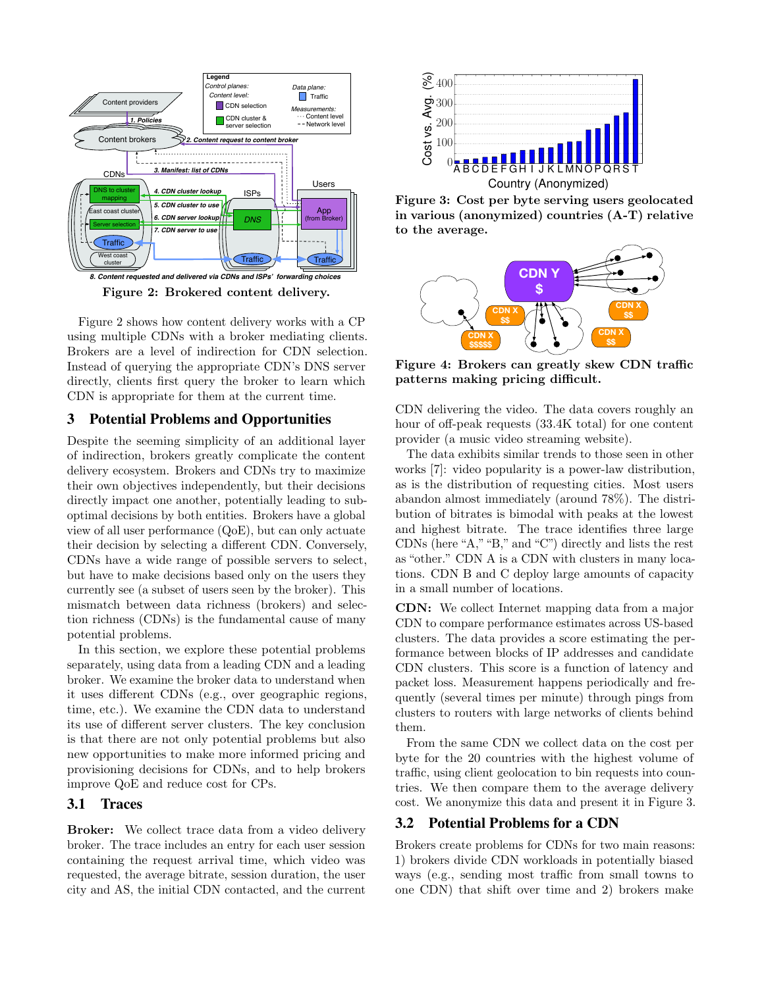

Figure 2: Brokered content delivery.

Figure 2 shows how content delivery works with a CP using multiple CDNs with a broker mediating clients. Brokers are a level of indirection for CDN selection. Instead of querying the appropriate CDN's DNS server directly, clients first query the broker to learn which CDN is appropriate for them at the current time.

# 3 Potential Problems and Opportunities

Despite the seeming simplicity of an additional layer of indirection, brokers greatly complicate the content delivery ecosystem. Brokers and CDNs try to maximize their own objectives independently, but their decisions directly impact one another, potentially leading to suboptimal decisions by both entities. Brokers have a global view of all user performance (QoE), but can only actuate their decision by selecting a different CDN. Conversely, CDNs have a wide range of possible servers to select, but have to make decisions based only on the users they currently see (a subset of users seen by the broker). This mismatch between data richness (brokers) and selection richness (CDNs) is the fundamental cause of many potential problems.

In this section, we explore these potential problems separately, using data from a leading CDN and a leading broker. We examine the broker data to understand when it uses different CDNs (e.g., over geographic regions, time, etc.). We examine the CDN data to understand its use of different server clusters. The key conclusion is that there are not only potential problems but also new opportunities to make more informed pricing and provisioning decisions for CDNs, and to help brokers improve QoE and reduce cost for CPs.

# 3.1 Traces

Broker: We collect trace data from a video delivery broker. The trace includes an entry for each user session containing the request arrival time, which video was requested, the average bitrate, session duration, the user city and AS, the initial CDN contacted, and the current



Figure 3: Cost per byte serving users geolocated in various (anonymized) countries (A-T) relative to the average.



Figure 4: Brokers can greatly skew CDN traffic patterns making pricing difficult.

CDN delivering the video. The data covers roughly an hour of off-peak requests (33.4K total) for one content provider (a music video streaming website).

The data exhibits similar trends to those seen in other works [7]: video popularity is a power-law distribution, as is the distribution of requesting cities. Most users abandon almost immediately (around 78%). The distribution of bitrates is bimodal with peaks at the lowest and highest bitrate. The trace identifies three large CDNs (here "A,""B," and "C") directly and lists the rest as "other." CDN A is a CDN with clusters in many locations. CDN B and C deploy large amounts of capacity in a small number of locations.

CDN: We collect Internet mapping data from a major CDN to compare performance estimates across US-based clusters. The data provides a score estimating the performance between blocks of IP addresses and candidate CDN clusters. This score is a function of latency and packet loss. Measurement happens periodically and frequently (several times per minute) through pings from clusters to routers with large networks of clients behind them.

From the same CDN we collect data on the cost per byte for the 20 countries with the highest volume of traffic, using client geolocation to bin requests into countries. We then compare them to the average delivery cost. We anonymize this data and present it in Figure 3.

# 3.2 Potential Problems for a CDN

Brokers create problems for CDNs for two main reasons: 1) brokers divide CDN workloads in potentially biased ways (e.g., sending most traffic from small towns to one CDN) that shift over time and 2) brokers make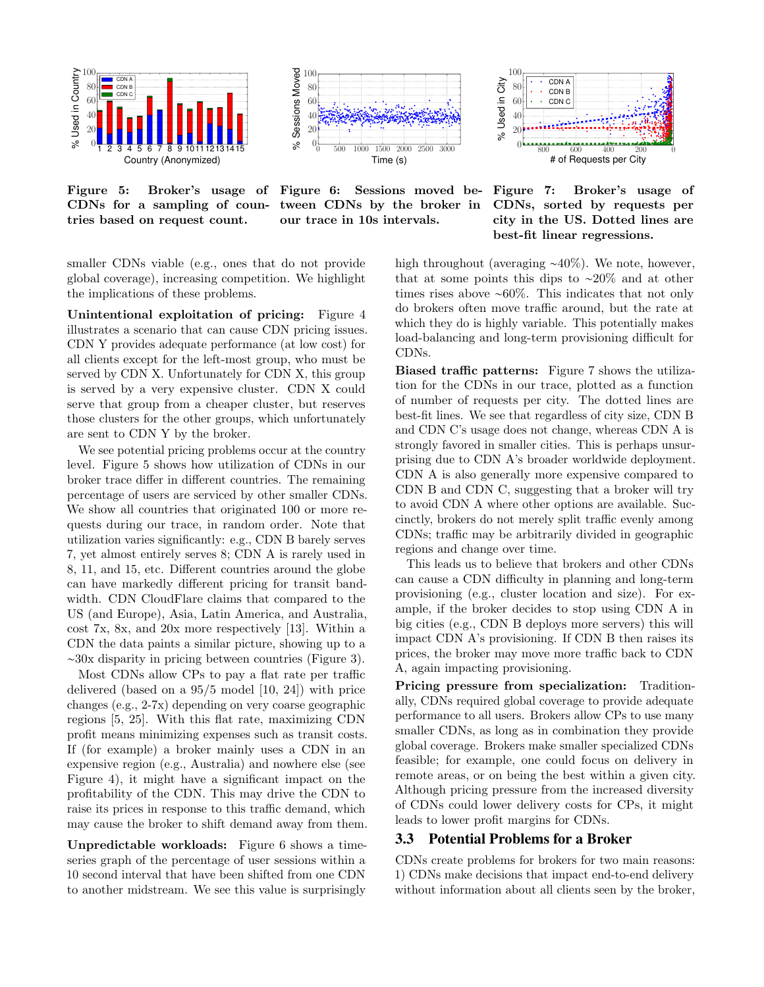

0 500 1000 1500 2000 2500 3000 Time (s)  $0^\mathsf{L}_{\alpha}$ 20 40 60 80 100 % Sessions Moved

800 600 400 200 0 # of Requests per City ىمە () 20 40 60 80 100 % Used in City CDN A CDN B CDN C

Figure 5: Broker's usage of Figure 6: Sessions moved be-CDNs for a sampling of countries based on request count.

tween CDNs by the broker in our trace in 10s intervals.

Figure 7: Broker's usage of CDNs, sorted by requests per city in the US. Dotted lines are best-fit linear regressions.

smaller CDNs viable (e.g., ones that do not provide global coverage), increasing competition. We highlight the implications of these problems.

Unintentional exploitation of pricing: Figure 4 illustrates a scenario that can cause CDN pricing issues. CDN Y provides adequate performance (at low cost) for all clients except for the left-most group, who must be served by CDN X. Unfortunately for CDN X, this group is served by a very expensive cluster. CDN X could serve that group from a cheaper cluster, but reserves those clusters for the other groups, which unfortunately are sent to CDN Y by the broker.

We see potential pricing problems occur at the country level. Figure 5 shows how utilization of CDNs in our broker trace differ in different countries. The remaining percentage of users are serviced by other smaller CDNs. We show all countries that originated 100 or more requests during our trace, in random order. Note that utilization varies significantly: e.g., CDN B barely serves 7, yet almost entirely serves 8; CDN A is rarely used in 8, 11, and 15, etc. Different countries around the globe can have markedly different pricing for transit bandwidth. CDN CloudFlare claims that compared to the US (and Europe), Asia, Latin America, and Australia, cost 7x, 8x, and 20x more respectively [13]. Within a CDN the data paints a similar picture, showing up to a ∼30x disparity in pricing between countries (Figure 3).

Most CDNs allow CPs to pay a flat rate per traffic delivered (based on a 95/5 model [10, 24]) with price changes (e.g., 2-7x) depending on very coarse geographic regions [5, 25]. With this flat rate, maximizing CDN profit means minimizing expenses such as transit costs. If (for example) a broker mainly uses a CDN in an expensive region (e.g., Australia) and nowhere else (see Figure 4), it might have a significant impact on the profitability of the CDN. This may drive the CDN to raise its prices in response to this traffic demand, which may cause the broker to shift demand away from them.

Unpredictable workloads: Figure 6 shows a timeseries graph of the percentage of user sessions within a 10 second interval that have been shifted from one CDN to another midstream. We see this value is surprisingly high throughout (averaging ∼40%). We note, however, that at some points this dips to ∼20% and at other times rises above ∼60%. This indicates that not only do brokers often move traffic around, but the rate at which they do is highly variable. This potentially makes load-balancing and long-term provisioning difficult for CDNs.

Biased traffic patterns: Figure 7 shows the utilization for the CDNs in our trace, plotted as a function of number of requests per city. The dotted lines are best-fit lines. We see that regardless of city size, CDN B and CDN C's usage does not change, whereas CDN A is strongly favored in smaller cities. This is perhaps unsurprising due to CDN A's broader worldwide deployment. CDN A is also generally more expensive compared to CDN B and CDN C, suggesting that a broker will try to avoid CDN A where other options are available. Succinctly, brokers do not merely split traffic evenly among CDNs; traffic may be arbitrarily divided in geographic regions and change over time.

This leads us to believe that brokers and other CDNs can cause a CDN difficulty in planning and long-term provisioning (e.g., cluster location and size). For example, if the broker decides to stop using CDN A in big cities (e.g., CDN B deploys more servers) this will impact CDN A's provisioning. If CDN B then raises its prices, the broker may move more traffic back to CDN A, again impacting provisioning.

Pricing pressure from specialization: Traditionally, CDNs required global coverage to provide adequate performance to all users. Brokers allow CPs to use many smaller CDNs, as long as in combination they provide global coverage. Brokers make smaller specialized CDNs feasible; for example, one could focus on delivery in remote areas, or on being the best within a given city. Although pricing pressure from the increased diversity of CDNs could lower delivery costs for CPs, it might leads to lower profit margins for CDNs.

# 3.3 Potential Problems for a Broker

CDNs create problems for brokers for two main reasons: 1) CDNs make decisions that impact end-to-end delivery without information about all clients seen by the broker,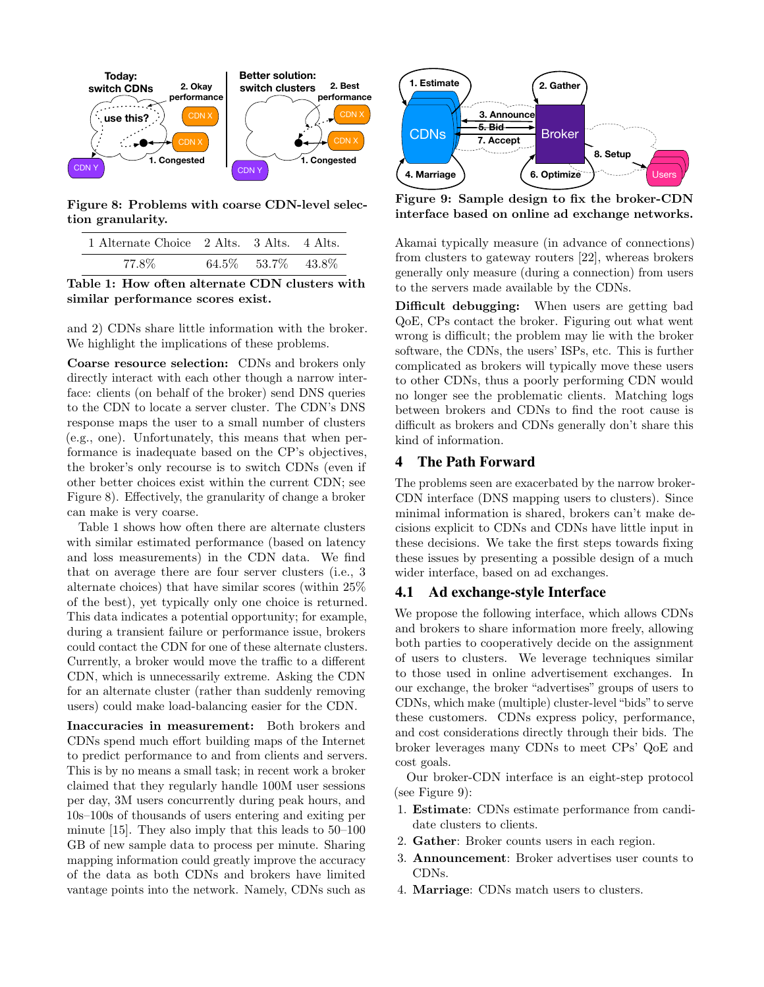

Figure 8: Problems with coarse CDN-level selection granularity.

| 1 Alternate Choice 2 Alts. 3 Alts. 4 Alts. |                      |  |
|--------------------------------------------|----------------------|--|
| 77.8%                                      | 64.5\% 53.7\% 43.8\% |  |

Table 1: How often alternate CDN clusters with similar performance scores exist.

and 2) CDNs share little information with the broker. We highlight the implications of these problems.

Coarse resource selection: CDNs and brokers only directly interact with each other though a narrow interface: clients (on behalf of the broker) send DNS queries to the CDN to locate a server cluster. The CDN's DNS response maps the user to a small number of clusters (e.g., one). Unfortunately, this means that when performance is inadequate based on the CP's objectives, the broker's only recourse is to switch CDNs (even if other better choices exist within the current CDN; see Figure 8). Effectively, the granularity of change a broker can make is very coarse.

Table 1 shows how often there are alternate clusters with similar estimated performance (based on latency and loss measurements) in the CDN data. We find that on average there are four server clusters (i.e., 3 alternate choices) that have similar scores (within 25% of the best), yet typically only one choice is returned. This data indicates a potential opportunity; for example, during a transient failure or performance issue, brokers could contact the CDN for one of these alternate clusters. Currently, a broker would move the traffic to a different CDN, which is unnecessarily extreme. Asking the CDN for an alternate cluster (rather than suddenly removing users) could make load-balancing easier for the CDN.

Inaccuracies in measurement: Both brokers and CDNs spend much effort building maps of the Internet to predict performance to and from clients and servers. This is by no means a small task; in recent work a broker claimed that they regularly handle 100M user sessions per day, 3M users concurrently during peak hours, and 10s–100s of thousands of users entering and exiting per minute [15]. They also imply that this leads to 50–100 GB of new sample data to process per minute. Sharing mapping information could greatly improve the accuracy of the data as both CDNs and brokers have limited vantage points into the network. Namely, CDNs such as



Figure 9: Sample design to fix the broker-CDN interface based on online ad exchange networks.

Akamai typically measure (in advance of connections) from clusters to gateway routers [22], whereas brokers generally only measure (during a connection) from users to the servers made available by the CDNs.

Difficult debugging: When users are getting bad QoE, CPs contact the broker. Figuring out what went wrong is difficult; the problem may lie with the broker software, the CDNs, the users' ISPs, etc. This is further complicated as brokers will typically move these users to other CDNs, thus a poorly performing CDN would no longer see the problematic clients. Matching logs between brokers and CDNs to find the root cause is difficult as brokers and CDNs generally don't share this kind of information.

# 4 The Path Forward

The problems seen are exacerbated by the narrow broker-CDN interface (DNS mapping users to clusters). Since minimal information is shared, brokers can't make decisions explicit to CDNs and CDNs have little input in these decisions. We take the first steps towards fixing these issues by presenting a possible design of a much wider interface, based on ad exchanges.

#### 4.1 Ad exchange-style Interface

We propose the following interface, which allows CDNs and brokers to share information more freely, allowing both parties to cooperatively decide on the assignment of users to clusters. We leverage techniques similar to those used in online advertisement exchanges. In our exchange, the broker "advertises" groups of users to CDNs, which make (multiple) cluster-level "bids" to serve these customers. CDNs express policy, performance, and cost considerations directly through their bids. The broker leverages many CDNs to meet CPs' QoE and cost goals.

Our broker-CDN interface is an eight-step protocol (see Figure 9):

- 1. Estimate: CDNs estimate performance from candidate clusters to clients.
- 2. Gather: Broker counts users in each region.
- 3. Announcement: Broker advertises user counts to CDNs.
- 4. Marriage: CDNs match users to clusters.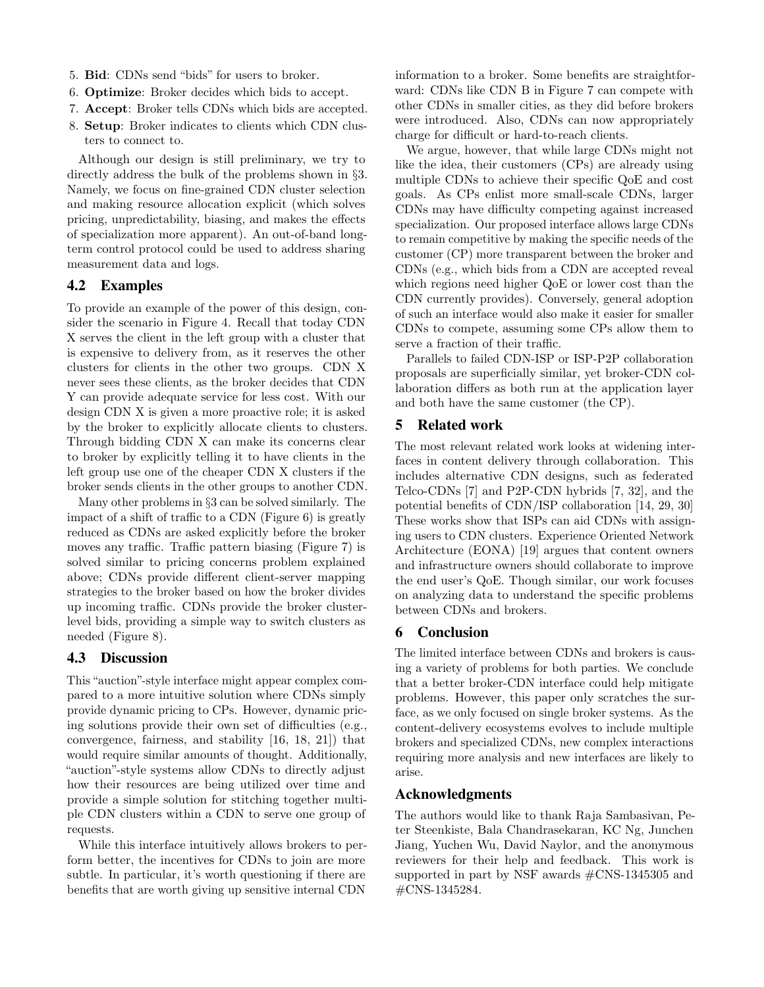- 5. Bid: CDNs send "bids" for users to broker.
- 6. Optimize: Broker decides which bids to accept.
- 7. Accept: Broker tells CDNs which bids are accepted.
- 8. Setup: Broker indicates to clients which CDN clusters to connect to.

Although our design is still preliminary, we try to directly address the bulk of the problems shown in §3. Namely, we focus on fine-grained CDN cluster selection and making resource allocation explicit (which solves pricing, unpredictability, biasing, and makes the effects of specialization more apparent). An out-of-band longterm control protocol could be used to address sharing measurement data and logs.

# 4.2 Examples

To provide an example of the power of this design, consider the scenario in Figure 4. Recall that today CDN X serves the client in the left group with a cluster that is expensive to delivery from, as it reserves the other clusters for clients in the other two groups. CDN X never sees these clients, as the broker decides that CDN Y can provide adequate service for less cost. With our design CDN X is given a more proactive role; it is asked by the broker to explicitly allocate clients to clusters. Through bidding CDN X can make its concerns clear to broker by explicitly telling it to have clients in the left group use one of the cheaper CDN X clusters if the broker sends clients in the other groups to another CDN.

Many other problems in §3 can be solved similarly. The impact of a shift of traffic to a CDN (Figure 6) is greatly reduced as CDNs are asked explicitly before the broker moves any traffic. Traffic pattern biasing (Figure 7) is solved similar to pricing concerns problem explained above; CDNs provide different client-server mapping strategies to the broker based on how the broker divides up incoming traffic. CDNs provide the broker clusterlevel bids, providing a simple way to switch clusters as needed (Figure 8).

# 4.3 Discussion

This "auction"-style interface might appear complex compared to a more intuitive solution where CDNs simply provide dynamic pricing to CPs. However, dynamic pricing solutions provide their own set of difficulties (e.g., convergence, fairness, and stability [16, 18, 21]) that would require similar amounts of thought. Additionally, "auction"-style systems allow CDNs to directly adjust how their resources are being utilized over time and provide a simple solution for stitching together multiple CDN clusters within a CDN to serve one group of requests.

While this interface intuitively allows brokers to perform better, the incentives for CDNs to join are more subtle. In particular, it's worth questioning if there are benefits that are worth giving up sensitive internal CDN

information to a broker. Some benefits are straightforward: CDNs like CDN B in Figure 7 can compete with other CDNs in smaller cities, as they did before brokers were introduced. Also, CDNs can now appropriately charge for difficult or hard-to-reach clients.

We argue, however, that while large CDNs might not like the idea, their customers (CPs) are already using multiple CDNs to achieve their specific QoE and cost goals. As CPs enlist more small-scale CDNs, larger CDNs may have difficulty competing against increased specialization. Our proposed interface allows large CDNs to remain competitive by making the specific needs of the customer (CP) more transparent between the broker and CDNs (e.g., which bids from a CDN are accepted reveal which regions need higher QoE or lower cost than the CDN currently provides). Conversely, general adoption of such an interface would also make it easier for smaller CDNs to compete, assuming some CPs allow them to serve a fraction of their traffic.

Parallels to failed CDN-ISP or ISP-P2P collaboration proposals are superficially similar, yet broker-CDN collaboration differs as both run at the application layer and both have the same customer (the CP).

#### 5 Related work

The most relevant related work looks at widening interfaces in content delivery through collaboration. This includes alternative CDN designs, such as federated Telco-CDNs [7] and P2P-CDN hybrids [7, 32], and the potential benefits of CDN/ISP collaboration [14, 29, 30] These works show that ISPs can aid CDNs with assigning users to CDN clusters. Experience Oriented Network Architecture (EONA) [19] argues that content owners and infrastructure owners should collaborate to improve the end user's QoE. Though similar, our work focuses on analyzing data to understand the specific problems between CDNs and brokers.

#### 6 Conclusion

The limited interface between CDNs and brokers is causing a variety of problems for both parties. We conclude that a better broker-CDN interface could help mitigate problems. However, this paper only scratches the surface, as we only focused on single broker systems. As the content-delivery ecosystems evolves to include multiple brokers and specialized CDNs, new complex interactions requiring more analysis and new interfaces are likely to arise.

#### Acknowledgments

The authors would like to thank Raja Sambasivan, Peter Steenkiste, Bala Chandrasekaran, KC Ng, Junchen Jiang, Yuchen Wu, David Naylor, and the anonymous reviewers for their help and feedback. This work is supported in part by NSF awards #CNS-1345305 and #CNS-1345284.